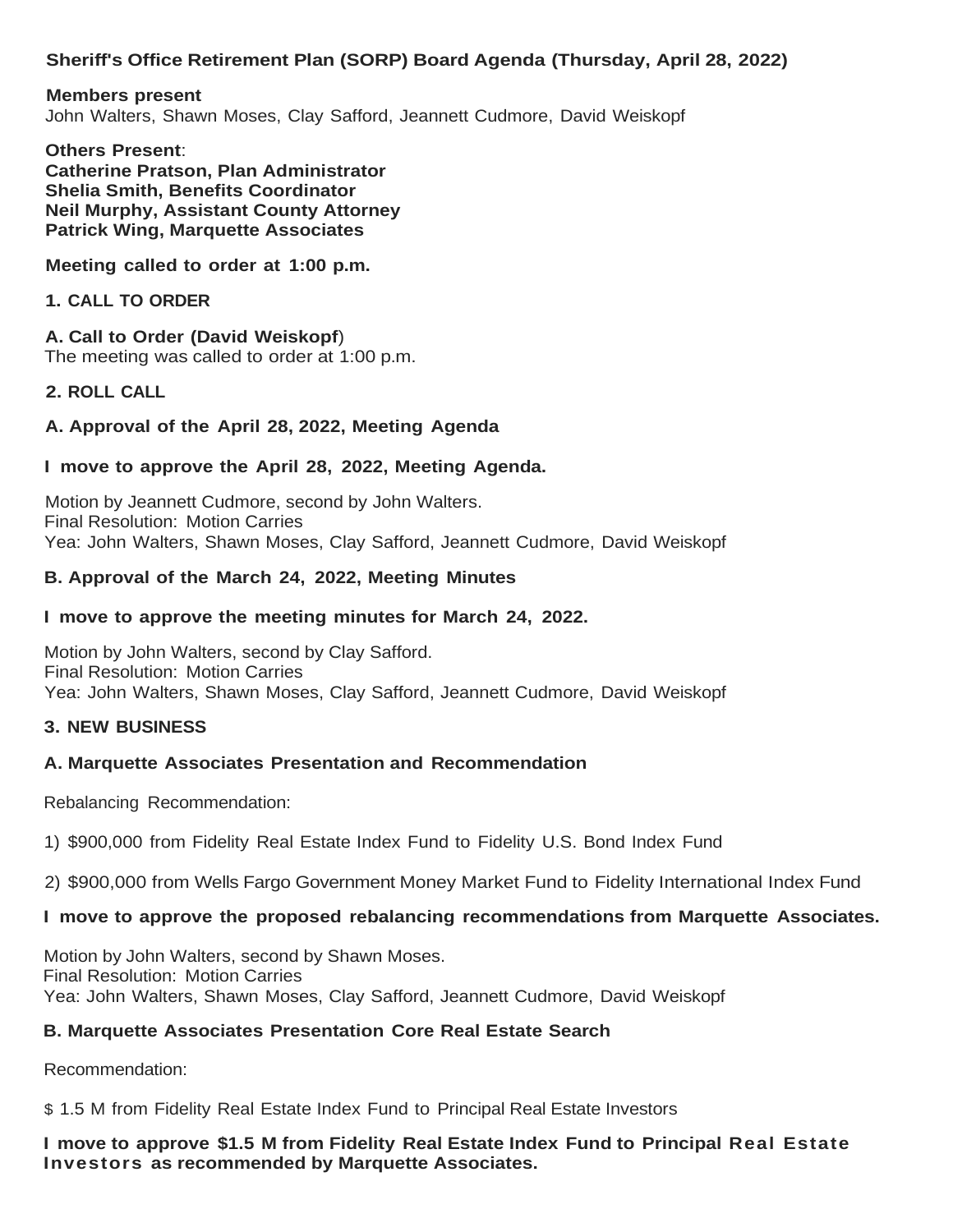# **Sheriff's Office Retirement Plan (SORP) Board Agenda (Thursday, April 28, 2022)**

## **Members present**

John Walters, Shawn Moses, Clay Safford, Jeannett Cudmore, David Weiskopf

**Others Present**: **Catherine Pratson, Plan Administrator Shelia Smith, Benefits Coordinator Neil Murphy, Assistant County Attorney Patrick Wing, Marquette Associates**

**Meeting called to order at 1:00 p.m.**

## **1. CALL TO ORDER**

**A. Call to Order (David Weiskopf**) The meeting was called to order at 1:00 p.m.

### **2. ROLL CALL**

## **A. Approval of the April 28, 2022, Meeting Agenda**

### **I move to approve the April 28, 2022, Meeting Agenda.**

Motion by Jeannett Cudmore, second by John Walters. Final Resolution: Motion Carries Yea: John Walters, Shawn Moses, Clay Safford, Jeannett Cudmore, David Weiskopf

### **B. Approval of the March 24, 2022, Meeting Minutes**

#### **I move to approve the meeting minutes for March 24, 2022.**

Motion by John Walters, second by Clay Safford. Final Resolution: Motion Carries Yea: John Walters, Shawn Moses, Clay Safford, Jeannett Cudmore, David Weiskopf

#### **3. NEW BUSINESS**

## **A. Marquette Associates Presentation and Recommendation**

Rebalancing Recommendation:

1) \$900,000 from Fidelity Real Estate Index Fund to Fidelity U.S. Bond Index Fund

2) \$900,000 from Wells Fargo Government Money Market Fund to Fidelity International Index Fund

#### **I move to approve the proposed rebalancing recommendations from Marquette Associates.**

Motion by John Walters, second by Shawn Moses. Final Resolution: Motion Carries Yea: John Walters, Shawn Moses, Clay Safford, Jeannett Cudmore, David Weiskopf

## **B. Marquette Associates Presentation Core Real Estate Search**

Recommendation:

\$ 1.5 M from Fidelity Real Estate Index Fund to Principal Real Estate Investors

### **I move to approve \$1.5 M from Fidelity Real Estate Index Fund to Principal Real Estate Investors as recommended by Marquette Associates.**